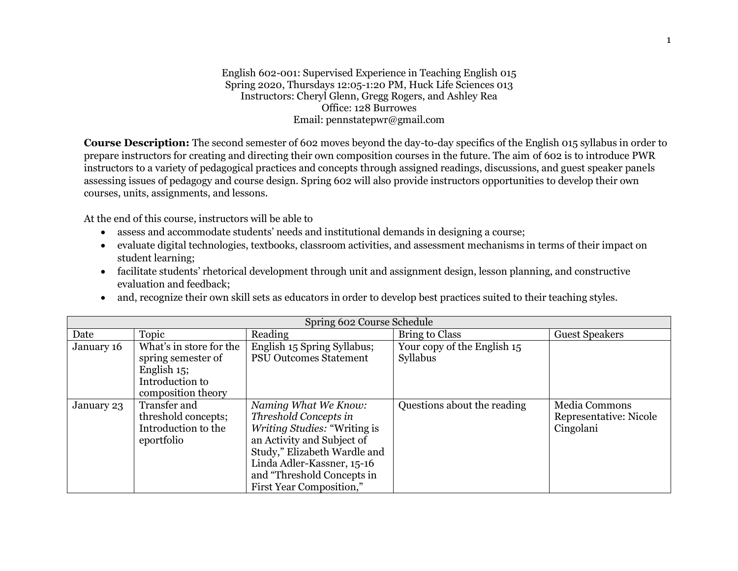English 602-001: Supervised Experience in Teaching English 015 Spring 2020, Thursdays 12:05-1:20 PM, Huck Life Sciences 013 Instructors: Cheryl Glenn, Gregg Rogers, and Ashley Rea Office: 128 Burrowes Email: pennstatepwr@gmail.com

**Course Description:** The second semester of 602 moves beyond the day-to-day specifics of the English 015 syllabus in order to prepare instructors for creating and directing their own composition courses in the future. The aim of 602 is to introduce PWR instructors to a variety of pedagogical practices and concepts through assigned readings, discussions, and guest speaker panels assessing issues of pedagogy and course design. Spring 602 will also provide instructors opportunities to develop their own courses, units, assignments, and lessons.

At the end of this course, instructors will be able to

- assess and accommodate students' needs and institutional demands in designing a course;
- evaluate digital technologies, textbooks, classroom activities, and assessment mechanisms in terms of their impact on student learning;
- facilitate students' rhetorical development through unit and assignment design, lesson planning, and constructive evaluation and feedback;
- and, recognize their own skill sets as educators in order to develop best practices suited to their teaching styles.

| Spring 602 Course Schedule |                                                                          |                                                                                                                                                                                                                                            |                                         |                                                      |  |  |  |
|----------------------------|--------------------------------------------------------------------------|--------------------------------------------------------------------------------------------------------------------------------------------------------------------------------------------------------------------------------------------|-----------------------------------------|------------------------------------------------------|--|--|--|
| Date                       | Topic                                                                    | Reading                                                                                                                                                                                                                                    | Bring to Class                          | <b>Guest Speakers</b>                                |  |  |  |
| January 16                 | What's in store for the<br>spring semester of<br>English 15;             | English 15 Spring Syllabus;<br><b>PSU Outcomes Statement</b>                                                                                                                                                                               | Your copy of the English 15<br>Syllabus |                                                      |  |  |  |
|                            | Introduction to<br>composition theory                                    |                                                                                                                                                                                                                                            |                                         |                                                      |  |  |  |
| January 23                 | Transfer and<br>threshold concepts;<br>Introduction to the<br>eportfolio | Naming What We Know:<br>Threshold Concepts in<br><i>Writing Studies:</i> "Writing is<br>an Activity and Subject of<br>Study," Elizabeth Wardle and<br>Linda Adler-Kassner, 15-16<br>and "Threshold Concepts in<br>First Year Composition," | Questions about the reading             | Media Commons<br>Representative: Nicole<br>Cingolani |  |  |  |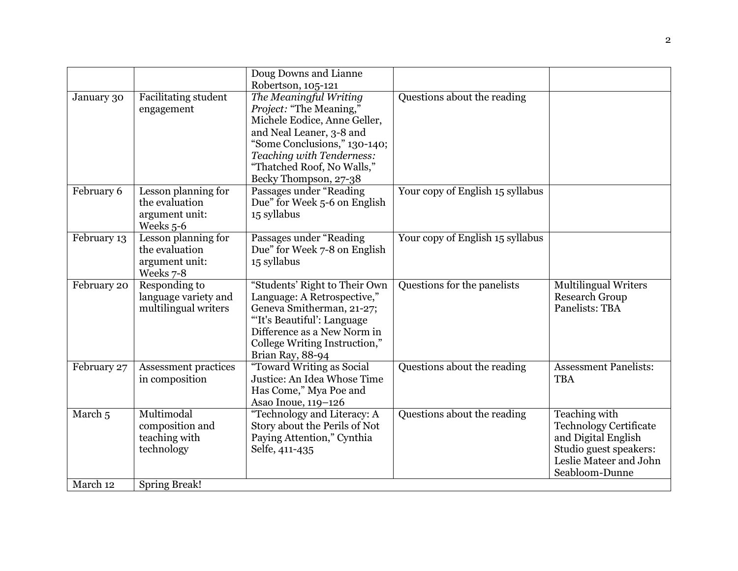|                    |                                                                      | Doug Downs and Lianne<br>Robertson, 105-121                                                                                                                                                                                              |                                  |                                                                                                                                                    |
|--------------------|----------------------------------------------------------------------|------------------------------------------------------------------------------------------------------------------------------------------------------------------------------------------------------------------------------------------|----------------------------------|----------------------------------------------------------------------------------------------------------------------------------------------------|
| January 30         | <b>Facilitating student</b><br>engagement                            | The Meaningful Writing<br><i>Project:</i> "The Meaning,"<br>Michele Eodice, Anne Geller,<br>and Neal Leaner, 3-8 and<br>"Some Conclusions," 130-140;<br>Teaching with Tenderness:<br>"Thatched Roof, No Walls,"<br>Becky Thompson, 27-38 | Questions about the reading      |                                                                                                                                                    |
| February 6         | Lesson planning for<br>the evaluation<br>argument unit:<br>Weeks 5-6 | Passages under "Reading<br>Due" for Week 5-6 on English<br>15 syllabus                                                                                                                                                                   | Your copy of English 15 syllabus |                                                                                                                                                    |
| February 13        | Lesson planning for<br>the evaluation<br>argument unit:<br>Weeks 7-8 | Passages under "Reading<br>Due" for Week 7-8 on English<br>15 syllabus                                                                                                                                                                   | Your copy of English 15 syllabus |                                                                                                                                                    |
| February 20        | Responding to<br>language variety and<br>multilingual writers        | "Students' Right to Their Own<br>Language: A Retrospective,"<br>Geneva Smitherman, 21-27;<br>"It's Beautiful': Language<br>Difference as a New Norm in<br>College Writing Instruction,"<br>Brian Ray, 88-94                              | Questions for the panelists      | <b>Multilingual Writers</b><br><b>Research Group</b><br>Panelists: TBA                                                                             |
| February 27        | Assessment practices<br>in composition                               | "Toward Writing as Social<br>Justice: An Idea Whose Time<br>Has Come," Mya Poe and<br>Asao Inoue, 119-126                                                                                                                                | Questions about the reading      | <b>Assessment Panelists:</b><br><b>TBA</b>                                                                                                         |
| March <sub>5</sub> | Multimodal<br>composition and<br>teaching with<br>technology         | "Technology and Literacy: A<br>Story about the Perils of Not<br>Paying Attention," Cynthia<br>Selfe, 411-435                                                                                                                             | Questions about the reading      | <b>Teaching with</b><br><b>Technology Certificate</b><br>and Digital English<br>Studio guest speakers:<br>Leslie Mateer and John<br>Seabloom-Dunne |
| March 12           | <b>Spring Break!</b>                                                 |                                                                                                                                                                                                                                          |                                  |                                                                                                                                                    |